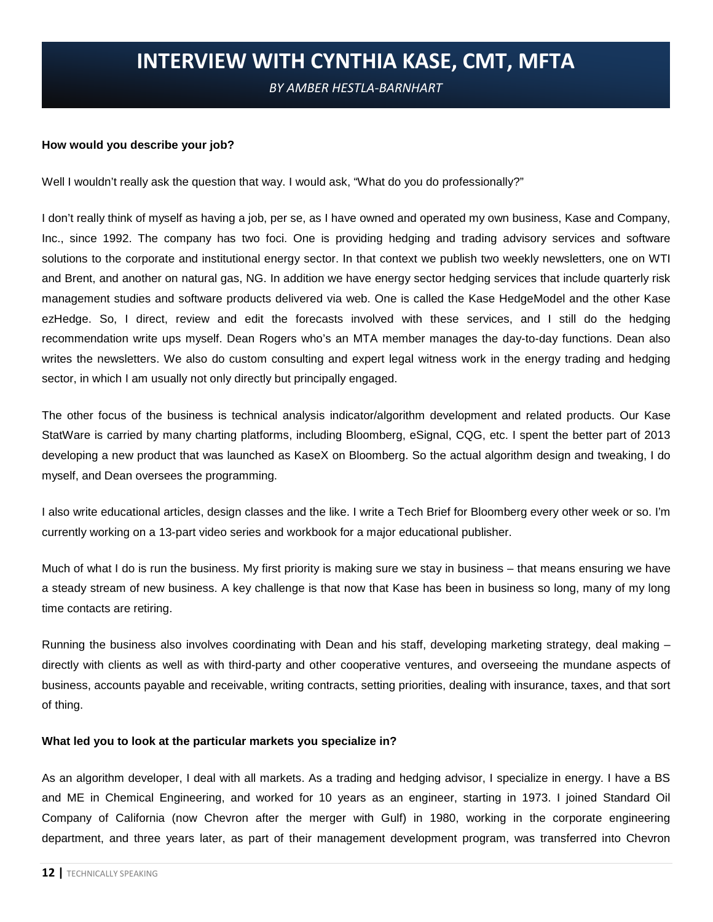# **INTERVIEW WITH CYNTHIA KASE, CMT, MFTA**

*BY AMBER HESTLA-BARNHART*

#### **How would you describe your job?**

Well I wouldn't really ask the question that way. I would ask, "What do you do professionally?"

I don't really think of myself as having a job, per se, as I have owned and operated my own business, Kase and Company, Inc., since 1992. The company has two foci. One is providing hedging and trading advisory services and software solutions to the corporate and institutional energy sector. In that context we publish two weekly newsletters, one on WTI and Brent, and another on natural gas, NG. In addition we have energy sector hedging services that include quarterly risk management studies and software products delivered via web. One is called the Kase HedgeModel and the other Kase ezHedge. So, I direct, review and edit the forecasts involved with these services, and I still do the hedging recommendation write ups myself. Dean Rogers who's an MTA member manages the day-to-day functions. Dean also writes the newsletters. We also do custom consulting and expert legal witness work in the energy trading and hedging sector, in which I am usually not only directly but principally engaged.

The other focus of the business is technical analysis indicator/algorithm development and related products. Our Kase StatWare is carried by many charting platforms, including Bloomberg, eSignal, CQG, etc. I spent the better part of 2013 developing a new product that was launched as KaseX on Bloomberg. So the actual algorithm design and tweaking, I do myself, and Dean oversees the programming.

I also write educational articles, design classes and the like. I write a Tech Brief for Bloomberg every other week or so. I'm currently working on a 13-part video series and workbook for a major educational publisher.

Much of what I do is run the business. My first priority is making sure we stay in business – that means ensuring we have a steady stream of new business. A key challenge is that now that Kase has been in business so long, many of my long time contacts are retiring.

Running the business also involves coordinating with Dean and his staff, developing marketing strategy, deal making – directly with clients as well as with third-party and other cooperative ventures, and overseeing the mundane aspects of business, accounts payable and receivable, writing contracts, setting priorities, dealing with insurance, taxes, and that sort of thing.

#### **What led you to look at the particular markets you specialize in?**

As an algorithm developer, I deal with all markets. As a trading and hedging advisor, I specialize in energy. I have a BS and ME in Chemical Engineering, and worked for 10 years as an engineer, starting in 1973. I joined Standard Oil Company of California (now Chevron after the merger with Gulf) in 1980, working in the corporate engineering department, and three years later, as part of their management development program, was transferred into Chevron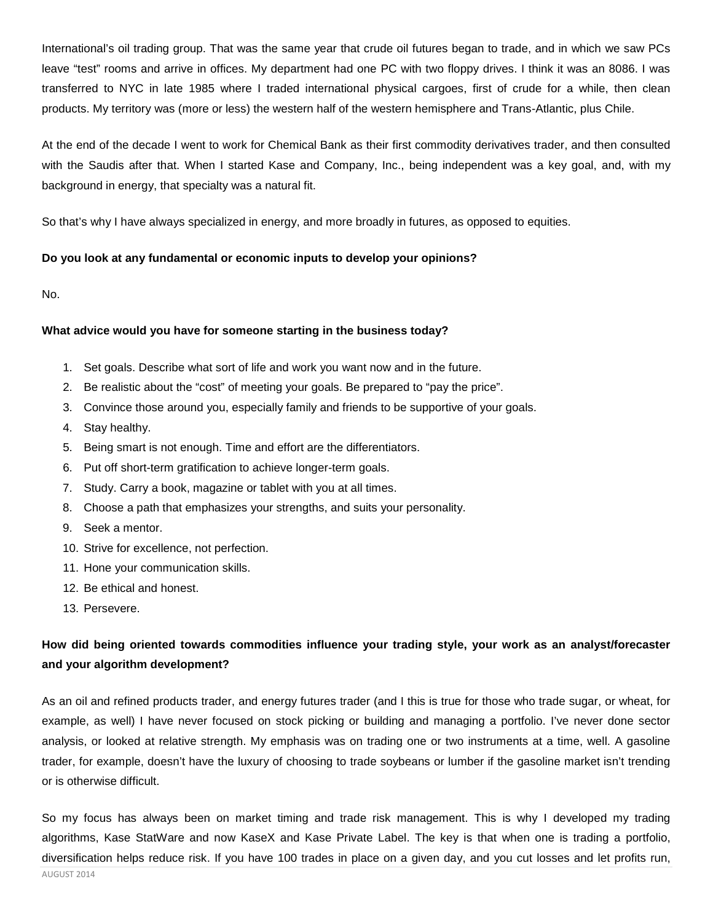International's oil trading group. That was the same year that crude oil futures began to trade, and in which we saw PCs leave "test" rooms and arrive in offices. My department had one PC with two floppy drives. I think it was an 8086. I was transferred to NYC in late 1985 where I traded international physical cargoes, first of crude for a while, then clean products. My territory was (more or less) the western half of the western hemisphere and Trans-Atlantic, plus Chile.

At the end of the decade I went to work for Chemical Bank as their first commodity derivatives trader, and then consulted with the Saudis after that. When I started Kase and Company, Inc., being independent was a key goal, and, with my background in energy, that specialty was a natural fit.

So that's why I have always specialized in energy, and more broadly in futures, as opposed to equities.

## **Do you look at any fundamental or economic inputs to develop your opinions?**

No.

## **What advice would you have for someone starting in the business today?**

- 1. Set goals. Describe what sort of life and work you want now and in the future.
- 2. Be realistic about the "cost" of meeting your goals. Be prepared to "pay the price".
- 3. Convince those around you, especially family and friends to be supportive of your goals.
- 4. Stay healthy.
- 5. Being smart is not enough. Time and effort are the differentiators.
- 6. Put off short-term gratification to achieve longer-term goals.
- 7. Study. Carry a book, magazine or tablet with you at all times.
- 8. Choose a path that emphasizes your strengths, and suits your personality.
- 9. Seek a mentor.
- 10. Strive for excellence, not perfection.
- 11. Hone your communication skills.
- 12. Be ethical and honest.
- 13. Persevere.

# **How did being oriented towards commodities influence your trading style, your work as an analyst/forecaster and your algorithm development?**

As an oil and refined products trader, and energy futures trader (and I this is true for those who trade sugar, or wheat, for example, as well) I have never focused on stock picking or building and managing a portfolio. I've never done sector analysis, or looked at relative strength. My emphasis was on trading one or two instruments at a time, well. A gasoline trader, for example, doesn't have the luxury of choosing to trade soybeans or lumber if the gasoline market isn't trending or is otherwise difficult.

So my focus has always been on market timing and trade risk management. This is why I developed my trading algorithms, Kase StatWare and now KaseX and Kase Private Label. The key is that when one is trading a portfolio, diversification helps reduce risk. If you have 100 trades in place on a given day, and you cut losses and let profits run,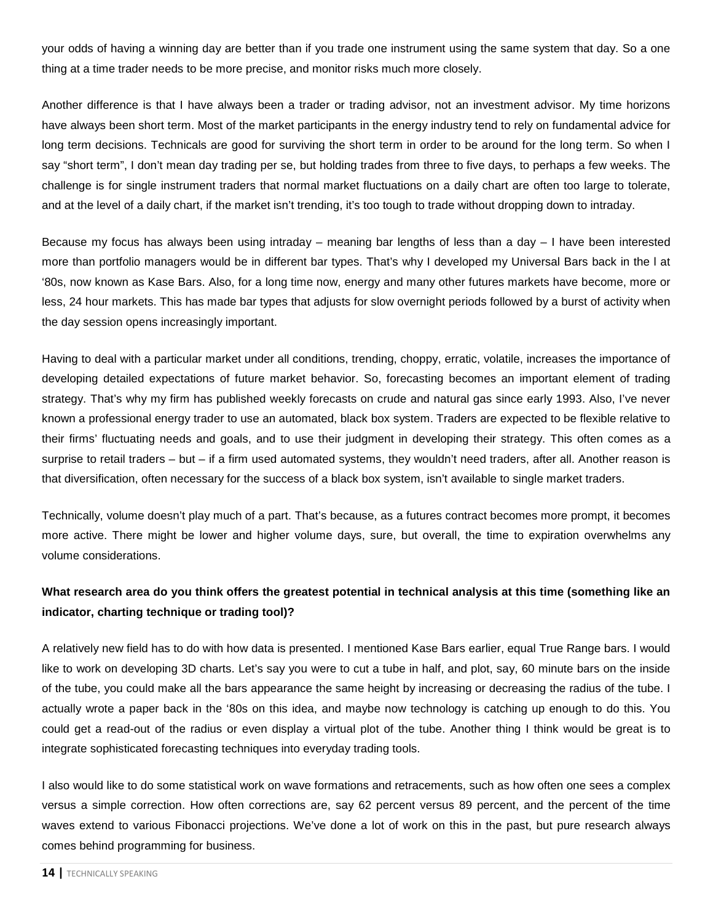your odds of having a winning day are better than if you trade one instrument using the same system that day. So a one thing at a time trader needs to be more precise, and monitor risks much more closely.

Another difference is that I have always been a trader or trading advisor, not an investment advisor. My time horizons have always been short term. Most of the market participants in the energy industry tend to rely on fundamental advice for long term decisions. Technicals are good for surviving the short term in order to be around for the long term. So when I say "short term", I don't mean day trading per se, but holding trades from three to five days, to perhaps a few weeks. The challenge is for single instrument traders that normal market fluctuations on a daily chart are often too large to tolerate, and at the level of a daily chart, if the market isn't trending, it's too tough to trade without dropping down to intraday.

Because my focus has always been using intraday – meaning bar lengths of less than a day – I have been interested more than portfolio managers would be in different bar types. That's why I developed my Universal Bars back in the l at '80s, now known as Kase Bars. Also, for a long time now, energy and many other futures markets have become, more or less, 24 hour markets. This has made bar types that adjusts for slow overnight periods followed by a burst of activity when the day session opens increasingly important.

Having to deal with a particular market under all conditions, trending, choppy, erratic, volatile, increases the importance of developing detailed expectations of future market behavior. So, forecasting becomes an important element of trading strategy. That's why my firm has published weekly forecasts on crude and natural gas since early 1993. Also, I've never known a professional energy trader to use an automated, black box system. Traders are expected to be flexible relative to their firms' fluctuating needs and goals, and to use their judgment in developing their strategy. This often comes as a surprise to retail traders – but – if a firm used automated systems, they wouldn't need traders, after all. Another reason is that diversification, often necessary for the success of a black box system, isn't available to single market traders.

Technically, volume doesn't play much of a part. That's because, as a futures contract becomes more prompt, it becomes more active. There might be lower and higher volume days, sure, but overall, the time to expiration overwhelms any volume considerations.

# **What research area do you think offers the greatest potential in technical analysis at this time (something like an indicator, charting technique or trading tool)?**

A relatively new field has to do with how data is presented. I mentioned Kase Bars earlier, equal True Range bars. I would like to work on developing 3D charts. Let's say you were to cut a tube in half, and plot, say, 60 minute bars on the inside of the tube, you could make all the bars appearance the same height by increasing or decreasing the radius of the tube. I actually wrote a paper back in the '80s on this idea, and maybe now technology is catching up enough to do this. You could get a read-out of the radius or even display a virtual plot of the tube. Another thing I think would be great is to integrate sophisticated forecasting techniques into everyday trading tools.

I also would like to do some statistical work on wave formations and retracements, such as how often one sees a complex versus a simple correction. How often corrections are, say 62 percent versus 89 percent, and the percent of the time waves extend to various Fibonacci projections. We've done a lot of work on this in the past, but pure research always comes behind programming for business.